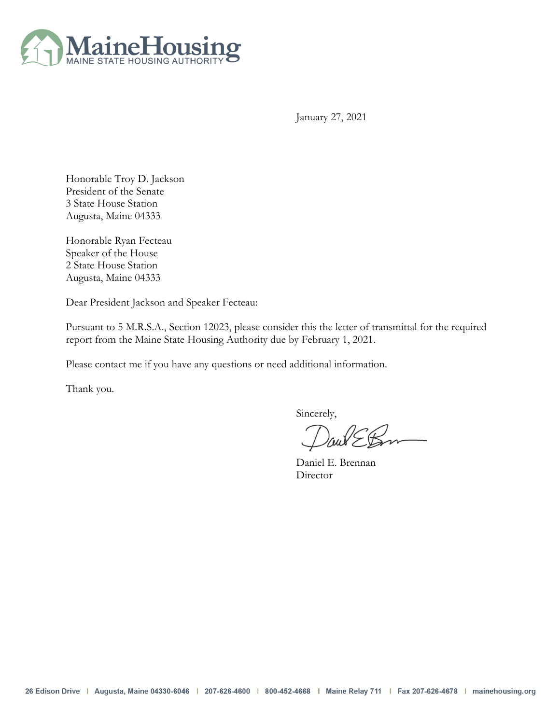

January 27, 2021

Honorable Troy D. Jackson President of the Senate 3 State House Station Augusta, Maine 04333

Honorable Ryan Fecteau Speaker of the House 2 State House Station Augusta, Maine 04333

Dear President Jackson and Speaker Fecteau:

Pursuant to 5 M.R.S.A., Section 12023, please consider this the letter of transmittal for the required report from the Maine State Housing Authority due by February 1, 2021.

Please contact me if you have any questions or need additional information.

Thank you.

Sincerely,

Daniel E. Brennan **Director**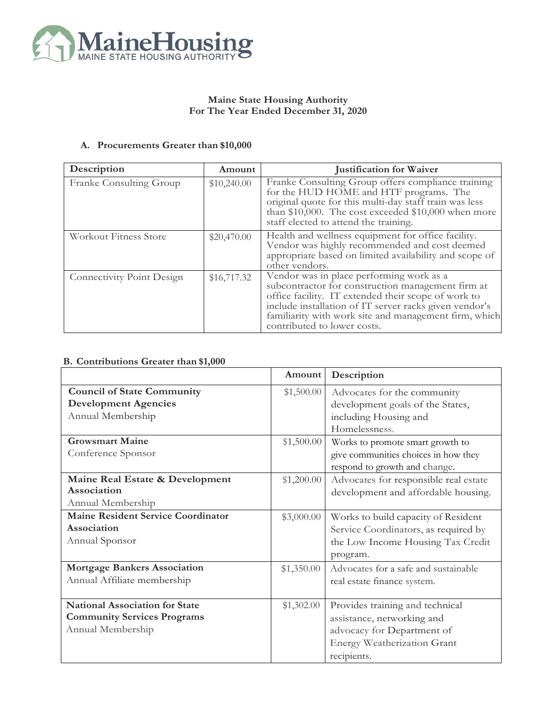

## **Maine State Housing Authority For The Year Ended December 31, 2020**

## **A. Procurements Greater than \$10,000**

| Description                      | Amount      | <b>Justification for Waiver</b>                                                                                                                                                                                                                                                                        |
|----------------------------------|-------------|--------------------------------------------------------------------------------------------------------------------------------------------------------------------------------------------------------------------------------------------------------------------------------------------------------|
| Franke Consulting Group          | \$10,240.00 | Franke Consulting Group offers compliance training<br>for the HUD HOME and HTF programs. The<br>original quote for this multi-day staff train was less<br>than \$10,000. The cost exceeded \$10,000 when more<br>staff elected to attend the training.                                                 |
| Workout Fitness Store            | \$20,470.00 | Health and wellness equipment for office facility.<br>Vendor was highly recommended and cost deemed<br>appropriate based on limited availability and scope of<br>other vendors.                                                                                                                        |
| <b>Connectivity Point Design</b> | \$16,717.32 | Vendor was in place performing work as a<br>subcontractor for construction management firm at<br>office facility. IT extended their scope of work to<br>include installation of IT server racks given vendor's<br>familiarity with work site and management firm, which<br>contributed to lower costs. |

## **B. Contributions Greater than \$1,000**

|                                           | Amount     | Description                           |
|-------------------------------------------|------------|---------------------------------------|
| <b>Council of State Community</b>         | \$1,500.00 | Advocates for the community           |
| <b>Development Agencies</b>               |            | development goals of the States,      |
| Annual Membership                         |            | including Housing and                 |
|                                           |            | Homelessness.                         |
| <b>Growsmart Maine</b>                    | \$1,500.00 | Works to promote smart growth to      |
| Conference Sponsor                        |            | give communities choices in how they  |
|                                           |            | respond to growth and change.         |
| Maine Real Estate & Development           | \$1,200.00 | Advocates for responsible real estate |
| Association                               |            | development and affordable housing.   |
| Annual Membership                         |            |                                       |
| <b>Maine Resident Service Coordinator</b> | \$3,000.00 | Works to build capacity of Resident   |
| Association                               |            | Service Coordinators, as required by  |
| Annual Sponsor                            |            | the Low Income Housing Tax Credit     |
|                                           |            | program.                              |
| <b>Mortgage Bankers Association</b>       | \$1,350.00 | Advocates for a safe and sustainable  |
| Annual Affiliate membership               |            | real estate finance system.           |
|                                           |            |                                       |
| <b>National Association for State</b>     | \$1,302.00 | Provides training and technical       |
| <b>Community Services Programs</b>        |            | assistance, networking and            |
| Annual Membership                         |            | advocacy for Department of            |
|                                           |            | Energy Weatherization Grant           |
|                                           |            | recipients.                           |